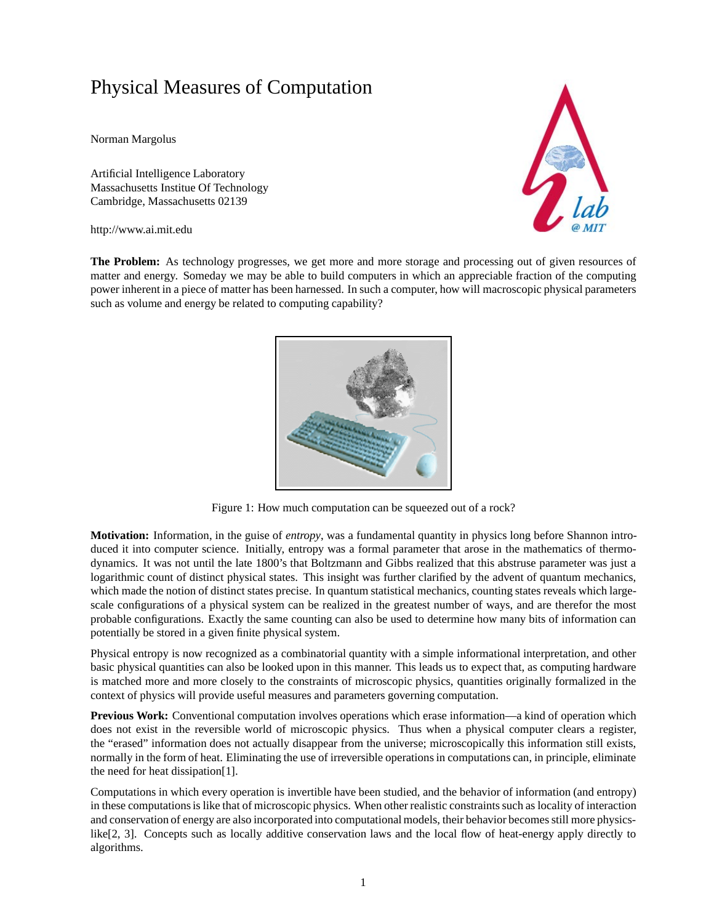## Physical Measures of Computation

Norman Margolus

Artificial Intelligence Laboratory Massachusetts Institue Of Technology Cambridge, Massachusetts 02139

http://www.ai.mit.edu



**The Problem:** As technology progresses, we get more and more storage and processing out of given resources of matter and energy. Someday we may be able to build computers in which an appreciable fraction of the computing power inherent in a piece of matter has been harnessed. In such a computer, how will macroscopic physical parameters such as volume and energy be related to computing capability?



Figure 1: How much computation can be squeezed out of a rock?

**Motivation:** Information, in the guise of *entropy*, was a fundamental quantity in physics long before Shannon introduced it into computer science. Initially, entropy was a formal parameter that arose in the mathematics of thermodynamics. It was not until the late 1800's that Boltzmann and Gibbs realized that this abstruse parameter was just a logarithmic count of distinct physical states. This insight was further clarified by the advent of quantum mechanics, which made the notion of distinct states precise. In quantum statistical mechanics, counting states reveals which largescale configurations of a physical system can be realized in the greatest number of ways, and are therefor the most probable configurations. Exactly the same counting can also be used to determine how many bits of information can potentially be stored in a given finite physical system.

Physical entropy is now recognized as a combinatorial quantity with a simple informational interpretation, and other basic physical quantities can also be looked upon in this manner. This leads us to expect that, as computing hardware is matched more and more closely to the constraints of microscopic physics, quantities originally formalized in the context of physics will provide useful measures and parameters governing computation.

**Previous Work:** Conventional computation involves operations which erase information—a kind of operation which does not exist in the reversible world of microscopic physics. Thus when a physical computer clears a register, the "erased" information does not actually disappear from the universe; microscopically this information still exists, normally in the form of heat. Eliminating the use of irreversible operations in computations can, in principle, eliminate the need for heat dissipation[1].

Computations in which every operation is invertible have been studied, and the behavior of information (and entropy) in these computations is like that of microscopic physics. When other realistic constraints such as locality of interaction and conservation of energy are also incorporated into computational models, their behavior becomes still more physicslike[2, 3]. Concepts such as locally additive conservation laws and the local flow of heat-energy apply directly to algorithms.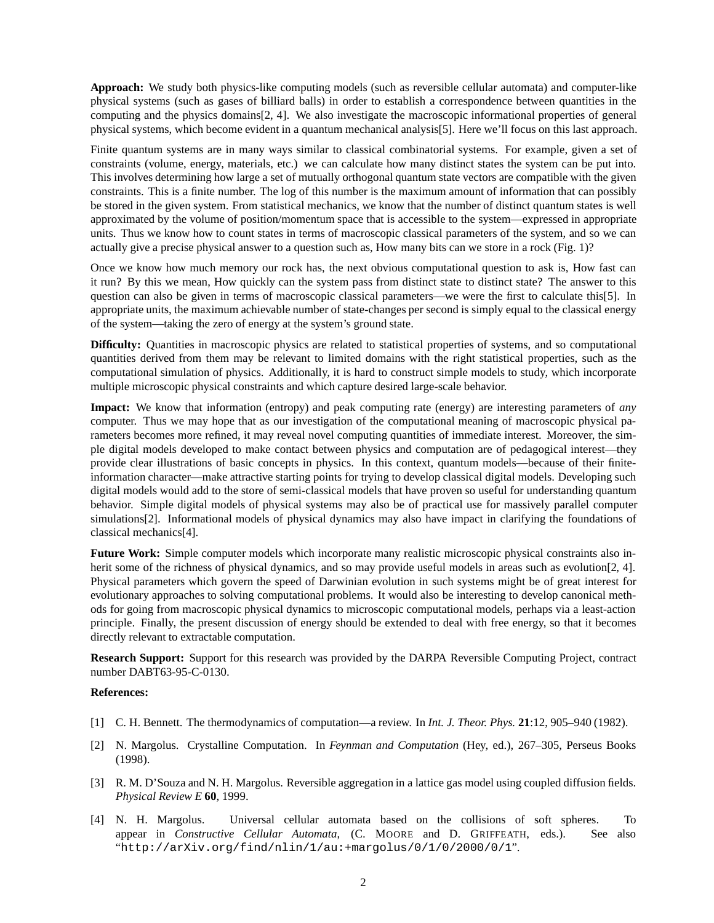**Approach:** We study both physics-like computing models (such as reversible cellular automata) and computer-like physical systems (such as gases of billiard balls) in order to establish a correspondence between quantities in the computing and the physics domains[2, 4]. We also investigate the macroscopic informational properties of general physical systems, which become evident in a quantum mechanical analysis[5]. Here we'll focus on this last approach.

Finite quantum systems are in many ways similar to classical combinatorial systems. For example, given a set of constraints (volume, energy, materials, etc.) we can calculate how many distinct states the system can be put into. This involves determining how large a set of mutually orthogonal quantum state vectors are compatible with the given constraints. This is a finite number. The log of this number is the maximum amount of information that can possibly be stored in the given system. From statistical mechanics, we know that the number of distinct quantum states is well approximated by the volume of position/momentum space that is accessible to the system—expressed in appropriate units. Thus we know how to count states in terms of macroscopic classical parameters of the system, and so we can actually give a precise physical answer to a question such as, How many bits can we store in a rock (Fig. 1)?

Once we know how much memory our rock has, the next obvious computational question to ask is, How fast can it run? By this we mean, How quickly can the system pass from distinct state to distinct state? The answer to this question can also be given in terms of macroscopic classical parameters—we were the first to calculate this[5]. In appropriate units, the maximum achievable number of state-changes per second is simply equal to the classical energy of the system—taking the zero of energy at the system's ground state.

**Difficulty:** Quantities in macroscopic physics are related to statistical properties of systems, and so computational quantities derived from them may be relevant to limited domains with the right statistical properties, such as the computational simulation of physics. Additionally, it is hard to construct simple models to study, which incorporate multiple microscopic physical constraints and which capture desired large-scale behavior.

**Impact:** We know that information (entropy) and peak computing rate (energy) are interesting parameters of *any* computer. Thus we may hope that as our investigation of the computational meaning of macroscopic physical parameters becomes more refined, it may reveal novel computing quantities of immediate interest. Moreover, the simple digital models developed to make contact between physics and computation are of pedagogical interest—they provide clear illustrations of basic concepts in physics. In this context, quantum models—because of their finiteinformation character—make attractive starting points for trying to develop classical digital models. Developing such digital models would add to the store of semi-classical models that have proven so useful for understanding quantum behavior. Simple digital models of physical systems may also be of practical use for massively parallel computer simulations[2]. Informational models of physical dynamics may also have impact in clarifying the foundations of classical mechanics[4].

**Future Work:** Simple computer models which incorporate many realistic microscopic physical constraints also inherit some of the richness of physical dynamics, and so may provide useful models in areas such as evolution [2, 4]. Physical parameters which govern the speed of Darwinian evolution in such systems might be of great interest for evolutionary approaches to solving computational problems. It would also be interesting to develop canonical methods for going from macroscopic physical dynamics to microscopic computational models, perhaps via a least-action principle. Finally, the present discussion of energy should be extended to deal with free energy, so that it becomes directly relevant to extractable computation.

**Research Support:** Support for this research was provided by the DARPA Reversible Computing Project, contract number DABT63-95-C-0130.

## **References:**

- [1] C. H. Bennett. The thermodynamics of computation—a review. In *Int. J. Theor. Phys.* **21**:12, 905–940 (1982).
- [2] N. Margolus. Crystalline Computation. In *Feynman and Computation* (Hey, ed.), 267–305, Perseus Books (1998).
- [3] R. M. D'Souza and N. H. Margolus. Reversible aggregation in a lattice gas model using coupled diffusion fields. *Physical Review E* **60**, 1999.
- [4] N. H. Margolus. Universal cellular automata based on the collisions of soft spheres. To appear in *Constructive Cellular Automata*, (C. MOORE and D. GRIFFEATH, eds.). See also "http://arXiv.org/find/nlin/1/au:+margolus/0/1/0/2000/0/1".